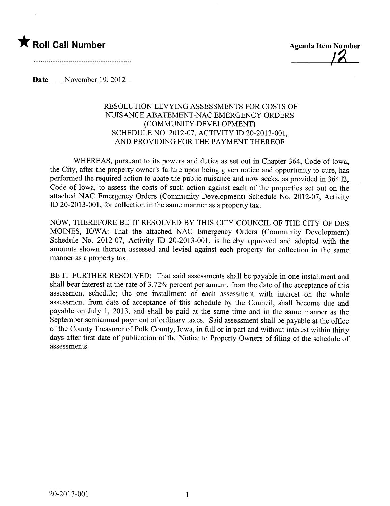

,  $/2$ 

Date \_\_\_\_\_November 19, 2012

## RESOLUTION LEVYING ASSESSMENTS FOR COSTS OF NUISANCE ABATEMENT-NAC EMERGENCY ORDERS (COMMUNITY DEVELOPMENT) SCHEDULE NO. 2012-07, ACTIVITY ID 20-2013-001, AND PROVIDING FOR THE PAYMENT THEREOF

WHEREAS, pursuant to its powers and duties as set out in Chapter 364, Code of Iowa, the City, after the property owner's failure upon being given notice and opportunity to cure, has performed the required action to abate the public nuisance and now seeks, as provided in 364.12, Code of Iowa, to assess the costs of such action against each of the properties set out on the attached NAC Emergency Orders (Community Development) Schedule No. 2012-07, Activity ID 20-2013-001, for collection in the same manner as a property tax.

NOW, THEREFORE BE IT RESOLVED BY THIS CITY COUNCIL OF THE CITY OF DES MOINS, IOWA: That the attached NAC Emergency Orders (Community Development) Schedule No. 2012-07, Activity ID 20-2013-001, is hereby approved and adopted with the amounts shown thereon assessed and levied against each property for collection in the same maner as a property tax.

BE IT FURTHER RESOLVED: That said assessments shall be payable in one installment and shall bear interest at the rate of 3.72% percent per annum, from the date of the acceptance of this assessment schedule; the one installment of each assessment with interest on the whole assessment from date of acceptance of this schedule by the Council, shall become due and payable on July 1, 2013, and shall be paid at the same time and in the same manner as the September semiannual payment of ordinary taxes. Said assessment shall be payable at the office of the County Treasurer of Polk County, Iowa, in full or in part and without interest within thirty days after first date of publication of the Notice to Property Owners of fiing of the schedule of assessments.